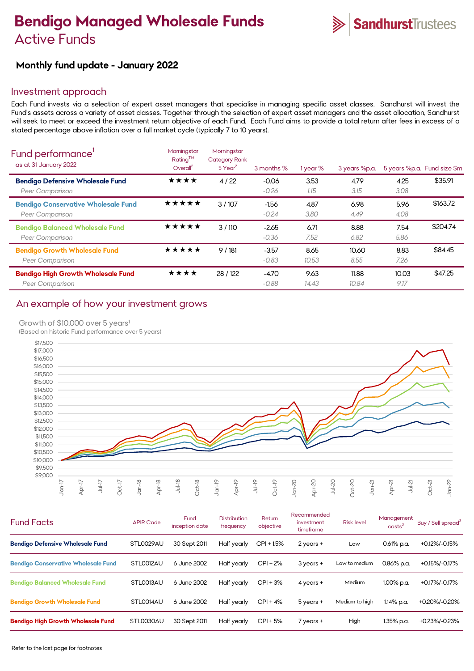# **Bendigo Managed Wholesale Funds**  Active Funds



# **Monthly fund update - January 2022**

## Investment approach

Each Fund invests via a selection of expert asset managers that specialise in managing specific asset classes. Sandhurst will invest the Fund's assets across a variety of asset classes. Together through the selection of expert asset managers and the asset allocation, Sandhurst will seek to meet or exceed the investment return objective of each Fund. Each Fund aims to provide a total return after fees in excess of a stated percentage above inflation over a full market cycle (typically 7 to 10 years).

| Fund performance'<br>as at 31 January 2022                    | Morningstar<br>Rating™<br>Overall <sup>2</sup> | Morningstar<br><b>Category Rank</b><br>$5$ Year <sup>2</sup> | 3 months %         | 1 year %      | 3 years %p.a.  |               | 5 years %p.a. Fund size \$m |
|---------------------------------------------------------------|------------------------------------------------|--------------------------------------------------------------|--------------------|---------------|----------------|---------------|-----------------------------|
| <b>Bendigo Defensive Wholesale Fund</b><br>Peer Comparison    | ★★★★                                           | 4/22                                                         | $-0.06$<br>$-0.26$ | 3.53<br>1.15  | 4.79<br>3.15   | 4.25<br>3.08  | \$35.91                     |
| <b>Bendigo Conservative Wholesale Fund</b><br>Peer Comparison | ★★★★★                                          | 3/107                                                        | $-1.56$<br>$-0.24$ | 4.87<br>3.80  | 6.98<br>4.49   | 5.96<br>4.08  | \$163.72                    |
| <b>Bendigo Balanced Wholesale Fund</b><br>Peer Comparison     | ★★★★★                                          | 3/110                                                        | $-2.65$<br>$-0.36$ | 6.71<br>7.52  | 8.88<br>6.82   | 7.54<br>5.86  | \$204.74                    |
| <b>Bendigo Growth Wholesale Fund</b><br>Peer Comparison       | ★★★★★                                          | 9/181                                                        | $-3.57$<br>$-0.83$ | 8.65<br>10.53 | 10.60<br>8.55  | 8.83<br>7.26  | \$84.45                     |
| <b>Bendigo High Growth Wholesale Fund</b><br>Peer Comparison  | ★★★★                                           | 28 / 122                                                     | $-4.70$<br>$-0.88$ | 9.63<br>14.43 | 11.88<br>10.84 | 10.03<br>9.17 | \$47.25                     |

## An example of how your investment grows

Growth of \$10,000 over 5 years<sup>1</sup>

(Based on historic Fund performance over 5 years)



| <b>Fund Facts</b>                          | <b>APIR Code</b> | Fund<br>inception date | <b>Distribution</b><br>frequency | Return<br>objective | Recommended<br>investment<br>timeframe | <b>Risk level</b> | Management<br>costs <sup>3</sup> | Buy / Sell spread <sup>3</sup> |
|--------------------------------------------|------------------|------------------------|----------------------------------|---------------------|----------------------------------------|-------------------|----------------------------------|--------------------------------|
| <b>Bendigo Defensive Wholesale Fund</b>    | STL0029AU        | 30 Sept 2011           | Half yearly                      | CPI + 1.5%          | 2 years +                              | Low               | $0.61\%$ p.a.                    | +0.12%/-0.15%                  |
| <b>Bendigo Conservative Wholesale Fund</b> | STLO012AU        | 6 June 2002            | Half yearly                      | $CPI + 2%$          | $3$ years $+$                          | Low to medium     | $0.86\%$ p.a.                    | +0.15%/-0.17%                  |
| <b>Bendigo Balanced Wholesale Fund</b>     | STLO013AU        | 6 June 2002            | Half yearly                      | $CPI + 3%$          | $4$ years $+$                          | <b>Medium</b>     | 1.00% p.a.                       | +0.17%/-0.17%                  |
| <b>Bendigo Growth Wholesale Fund</b>       | STLO014AU        | 6 June 2002            | Half yearly                      | $CPI + 4%$          | $5$ years $+$                          | Medium to high    | 1.14% p.a.                       | +0.20%/-0.20%                  |
| <b>Bendigo High Growth Wholesale Fund</b>  | STL0030AU        | 30 Sept 2011           | Half yearly                      | $CPI + 5%$          | $7$ years $+$                          | High              | 1.35% p.a.                       | +0.23%/-0.23%                  |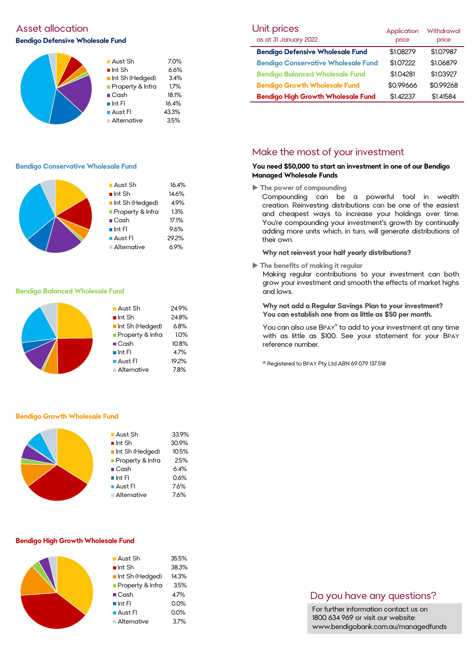# Asset allocation **Bendigo Defensive Wholesale Fund**



#### **Bendigo Conservative Wholesale Fund**

| $\blacksquare$ Aust Sh | 16.4% |
|------------------------|-------|
| $\blacksquare$ Int Sh  | 14.6% |
| Int Sh (Hedged)        | 4.9%  |
| Property & Infra       | 1.3%  |
| $\blacksquare$ Cash    | 17.1% |
| $\blacksquare$ Int FI  | 9.6%  |
| $\blacksquare$ Aust FI | 29.2% |
| Alternative            | 6.9%  |

#### **Bendigo Balanced Wholesale Fund**

|  | $\blacksquare$ Aust Sh<br>$\blacksquare$ Int Sh<br>Int Sh (Hedged)<br>Property & Infra | 24.9%<br>24.8%<br>6.8%<br>1.0% |
|--|----------------------------------------------------------------------------------------|--------------------------------|
|  | $\blacksquare$ Cash<br>$\blacksquare$ Int FI<br>■ Aust Fl<br>Alternative               | 10.8%<br>4.7%<br>19.2%<br>7.8% |

#### **Bendigo Growth Wholesale Fund**



#### **Bendigo High Growth Wholesale Fund**

| $\blacksquare$ Aust Sh | 35.5% |
|------------------------|-------|
| $\blacksquare$ Int Sh  | 38.3% |
| Int Sh (Hedged)        | 14.3% |
| Property & Infra       | 3.5%  |
| $\blacksquare$ Cash    | 4.7%  |
| $\blacksquare$ Int FI  | 0.0%  |
| <b>Aust Fl</b>         | 0.0%  |
| Alternative            | 3.7%  |
|                        |       |

| Unit prices                                | Application | <b>Withdrawal</b> |
|--------------------------------------------|-------------|-------------------|
| as at 31 January 2022                      | price       | price             |
| <b>Bendigo Defensive Wholesale Fund</b>    | \$1.08279   | \$1.07987         |
| <b>Bendigo Conservative Wholesale Fund</b> | \$1.07222   | \$1.06879         |
| <b>Bendigo Balanced Wholesale Fund</b>     | \$1.04281   | \$1.03927         |
| <b>Bendigo Growth Wholesale Fund</b>       | \$0.99666   | \$0.99268         |
| <b>Bendigo High Growth Wholesale Fund</b>  | \$1.42237   | \$1.41584         |

# Make the most of your investment

#### **You need \$50,000 to start an investment in one of our Bendigo Managed Wholesale Funds**

**The power of compounding**

Compounding can be a powerful tool in wealth creation. Reinvesting distributions can be one of the easiest and cheapest ways to increase your holdings over time. You're compounding your investment's growth by continually adding more units which, in turn, will generate distributions of their own.

#### **Why not reinvest your half yearly distributions?**

**The benefits of making it regular**

Making regular contributions to your investment can both grow your investment and smooth the effects of market highs and lows.

**Why not add a Regular Savings Plan to your investment? You can establish one from as little as \$50 per month.** 

You can also use BPAY® to add to your investment at any time with as little as \$100. See your statement for your BPAY reference number.

® Registered to BPAY Pty Ltd ABN 69 079 137 518

# Do you have any questions?

For further information contact us on 1800 634 969 or visit our website: www.bendigobank.com.au/managedfunds